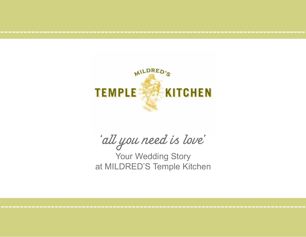

'all you need is love'

Your Wedding Story at MILDRED'S Temple Kitchen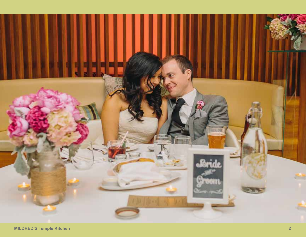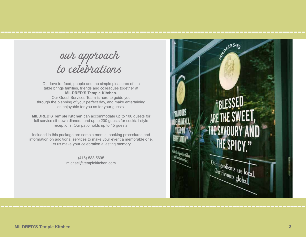*our approach to celebrations*

Our love for food, people and the simple pleasures of the table brings families, friends and colleagues together at **MILDRED'S Temple Kitchen.** Our Guest Services Team is here to guide you through the planning of your perfect day, and make entertaining as enjoyable for you as for your guests.

**MILDRED'S Temple Kitchen** can accommodate up to 100 guests for full service sit-down dinners, and up to 200 guests for cocktail style receptions. Our patio holds up to 45 guests.

Included in this package are sample menus, booking procedures and information on additional services to make your event a memorable one. Let us make your celebration a lasting memory.

> (416) 588.5695 michael@templekitchen.com

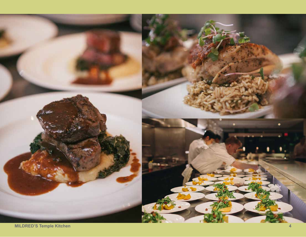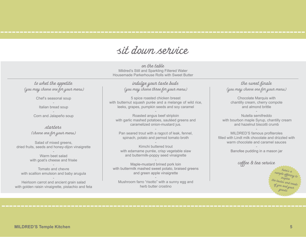*Sit Down service*

*On the Table* Mildred's Still and Sparkling Filtered Water Housemade Parkerhouse Rolls with Sweet Butter

*To Whet the Appetite (you may choose one for your menu)*

> Chef's seasonal soup - Italian bread soup

- Corn and Jalapeño soup

*starters (choose one for your menu)*

Salad of mixed greens, dried fruits, seeds and honey-dijon vinaigrette

> - Warm beet salad with goat's cheese and frisée

- Tomato and chevre with scallion emulsion and baby arugula

- Heirloom carrot and ancient grain salad with golden raisin vinaigrette, pistachio and feta

*indulge your taste buds (you may choose three for your menu)*

5 spice roasted chicken breast with butternut squash purée and a melange of wild rice, leeks, grapes, pumpkin seeds and soy caramel

- Roasted angus beef striploin with garlic mashed potatoes, sautéed greens and caramelized onion-mustard jus.

- Pan seared trout with a ragoût of leak, fennel, spinach, potato and pernod tomato broth

- Kimchi buttered trout with edamame purrée, crisp vegetable slaw and buttermilk-poppy seed vinaigrette

- Maple-mustard brined pork loin with buttermilk mashed sweet potato, braised greens and green apple vinaigrette

- Mushroom farro "risotto" with a sunny egg and herb butter crostino

-------------------------------------------------------------------------------

*The Sweet Finale (you may choose one for your menu)*

Chocolate Marquis with chantilly cream, cherry compote and almond brittle

- Nutella semifreddo with bourbon maple Syrup, chantilly cream and hazelnut biscotti crumb

- MILDRED'S famous profiteroles filled with Lindt milk chocolate and drizzled with warm chocolate and caramel sauces

> - Banofee pudding in a mason jar

> > *Coffee & Tea Service*

*Here's a sample offering to inspire the tastes and needs of you and your guests*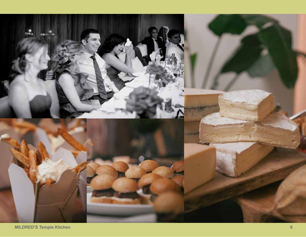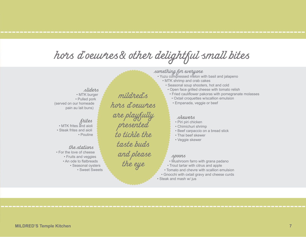# *Hors d'Oeuvres& Other Delightful Small Bites*

*Mildred's*

*Hors d'Oeuvres*

*are playfully*

*presented*

*to tickle the* 

*taste buds*

 *and please*

*the eye*

## *something for everyone* • Yuzu compressed melon with basil and jalapeno

- MTK shrimp and crab cakes
- Seasonal soup shooters, hot and cold
- Open face grilled cheese with tomato relish
- Fried cauliflower pakoras with pomegranate molasses
- Oxtail croquettes w/scallion emulsion
- Empanada, veggie or beef

### *skewers*

- Piri piri chicken
- Chimichuri shrimp
- Beef carpaccio on a bread stick
- Thai beef skewer
- Veggie skewer

- *spoons* Mushroom farro with grana padano
- Trout tartar with citrus and apple
- Tomato and chevre with scallion emulsion
- Gnocchi with oxtail gravy and cheese curds
- Steak and mash w/ jus

-------------------------------------------------------------------------------

 *sliders*  • MTK burger • Pulled pork (served on our homeade pain au lait buns)

*frites* • MTK frites and aioli • Steak frites and aioli • Poutine

### *the stations*  • For the love of cheese • Fruits and veggies

• An ode to flatbreads • Seasonal oysters • Sweet Sweets

 **MILDRED'S Temple Kitchen 7**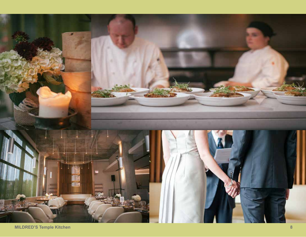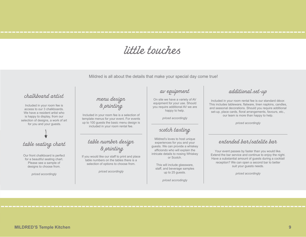*Little touches*

Mildred is all about the details that make your special day come true!

-------------------------------------------------------------------------------

### *Chalkboard Artist*

Included in your room fee is access to our 3 chalkboards. We have a resident artist who is happy to display, from our selection of designs, a work of art for you and your guests.

*Table Seating Chart*

Our front chalkboard is perfect for a beautiful seating chart. Please see a sample of designs to choose from.

*priced accordingly*

*Menu Design & Printing*

Included in your room fee is a selection of template menus for your event. For events up to 100 guests the basic menu design is included in your room rental fee.

*Table Number Design & Printing*

If you would like our staff to print and place table numbers on the tables there is a selection of options to choose from.

*priced accordingly*

*AV Equipment*

On site we have a variety of AV equipment for your use. Should you require additional AV we are happy to help.

*priced accordingly* 

*Scotch Tasting*

Mildred's loves to host unique experiences for you and your guests. We can provide a whiskey afficiondo who will explain the intricate details to nosing Whiskey or Scotch.

This will include glassware, staff, and beverage samples up to 25 guests.

*priced accrodingly*

*Additional set-up*

Included in your room rental fee is our standard décor. This includes tableware, flatware, linen napkins, candles, and seasonal decorations. Should you require additional set-up, place cards, floral arrangements, favours, etc., our team is more than happy to help.

*priced accordingly*

*Extended bar/satelite bar*

Your event passes by faster than you would like. Extend the bar service and continue to enjoy the night. Have a substantial amount of guests during a cocktail reception? We can open a second bar to better suit your guests needs.

*priced accordingly*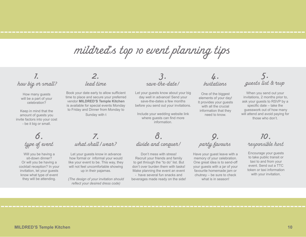# *MiLdrED's top 10 Event planning tips*



How many guests will be a part of your celebration?

Keep in mind that the amount of guests you invite factors into your cost - be it big or small.

*2. Lead time* 

Book your date early to allow sufficient time to place and secure your preferred vendor **MILDRED'S Temple Kitchen** is available for special events Monday to Friday and Dinner from Monday to

Sunday with t

*3. Save-the-Date!*

Let your guests know about your big day well in advance! Send your save-the-dates a few months before you send out your invitations.

Include your wedding website link where guests can find more information.

*4. Invitations*

One of the biggest elements of your day! It provides your guests with all the crucial information that they need to know.

*5. Guests List & RSVP*

When you send out your invitations, 2 months prior to, ask your guests to RSVP by a specific date – take the guesswork out of how many will attend and avoid paying for those who don't.

*6. Type of Event*

Will you be having a sit-down dinner? Or will you be having a cocktail reception? In your invitation, let your guests know what type of event they will be attending.

*7. what shall I wear?*

Let your guests know in advance how formal or informal your would like your event to be. This way, they will not feel uncomfortable showing up in their pajamas.

*(The design of your invitation should reflect your desired dress code)*

*8. Divide and Conquer!*

Don't mess with stress! Recruit your friends and family to get through the "to do" list. But don't over burden them with tasks! Make planning the event an event - have several fun snacks and beverages made ready on the side!

-------------------------------------------------------------------------------

*9. Party Favours*

Have your guest leave with a memory of your celebration. One great idea is to send-off your guests with a jar of your favourite homemade jam or chutney – be sure to check what is in season!

*10. Responsible Host*

Encourage your guests to take public transit or taxi to and from your event. Send out a TTC token or taxi information with your invitation.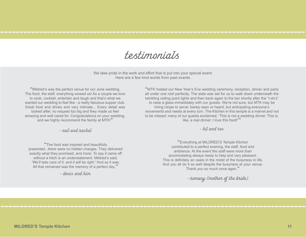## *testimonials*

We take pride in the work and effort that is put into your special event. Here are a few kind words from past events.

-------------------------------------------------------------------------------

**"**Mildred's was the perfect venue for our June wedding. The food, the staff, everything wowed us! As a couple we love to cook, cocktail, entertain and laugh and that's what we wanted our wedding to feel like - a really fabulous supper club. Great food and drinks and very intimate... Every detail was looked after, no request too big and they made us feel amazing and well cared for. Congratulations on your wedding, and we highly recommend the family at MTK!**"**

*- Neil and rachel*

**"**The food was inspired and beautifully presented...there were no hidden charges. They delivered exactly what they promised, and more. To say it came off without a hitch is an understatement. Mildred's said, *"We'll take care of it, and it will be right."* And so it was. All that remained was the memory of a perfect day.**"**

*- Denis and Kim*

**"**MTK hosted our New Year's Eve wedding ceremony, reception, dinner and party all under one roof perfectly. The aisle was set for us to walk down underneath the twinkling ceiling point lights and then back again to the bar shortly after the "I-do's" to raise a glass immediately with our guests. We're not sure, but MTK may be hiring ninjas to serve: barely seen or heard, but anticipating everyone's movements and needs at every turn. The Kitchen in this temple is a marvel and not to be missed; many of our guests exclaimed, "This is not a wedding dinner. This is, like, a real dinner; I love this food!"**"**

*- Hil and Ros*

**"**Everything at MILDRED'S Temple Kitchen contributed to a perfect evening, the staff, food and ambience. At the event the staff were more than accomodating always ready to help and very pleasant. This is definitely an oasis in the midst of the busyness in life. And you all do it so well despite the busyness at your venue. Thank you so much once agan.**"**

*- romany (mother of the bride)*